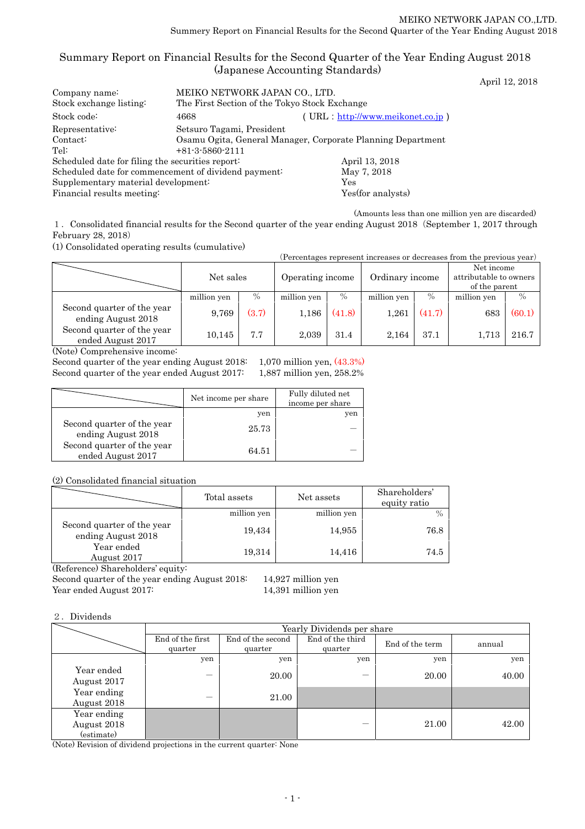### Summary Report on Financial Results for the Second Quarter of the Year Ending August 2018 (Japanese Accounting Standards) April 12, 2018

| Company name:<br>Stock exchange listing:             | MEIKO NETWORK JAPAN CO., LTD.<br>The First Section of the Tokyo Stock Exchange                                |                    |  |  |  |
|------------------------------------------------------|---------------------------------------------------------------------------------------------------------------|--------------------|--|--|--|
| Stock code:                                          | (URL: http://www.meikonet.co.jp)<br>4668                                                                      |                    |  |  |  |
| Representative:<br>Context:<br>Tel:                  | Setsuro Tagami, President<br>Osamu Ogita, General Manager, Corporate Planning Department<br>$+81-3-5860-2111$ |                    |  |  |  |
| Scheduled date for filing the securities report:     |                                                                                                               | April 13, 2018     |  |  |  |
| Scheduled date for commencement of dividend payment: |                                                                                                               | May 7, 2018        |  |  |  |
| Supplementary material development:                  |                                                                                                               | Yes                |  |  |  |
| Financial results meeting:                           |                                                                                                               | Yes (for analysts) |  |  |  |

(Amounts less than one million yen are discarded)

1.Consolidated financial results for the Second quarter of the year ending August 2018(September 1, 2017 through February 28, 2018)

(1) Consolidated operating results (cumulative)

| (Percentages represent increases or decreases from the previous year)                                                                         |             |       |                  |        |                 |        |                                                       |        |
|-----------------------------------------------------------------------------------------------------------------------------------------------|-------------|-------|------------------|--------|-----------------|--------|-------------------------------------------------------|--------|
|                                                                                                                                               | Net sales   |       | Operating income |        | Ordinary income |        | Net income<br>attributable to owners<br>of the parent |        |
|                                                                                                                                               | million yen | $\%$  | million yen      | $\%$   | million yen     | $\%$   | million yen                                           | $\%$   |
| Second quarter of the year<br>ending August 2018                                                                                              | 9,769       | (3.7) | 1,186            | (41.8) | 1,261           | (41.7) | 683                                                   | (60.1) |
| Second quarter of the year<br>ended August 2017                                                                                               | 10,145      | 7.7   | 2,039            | 31.4   | 2,164           | 37.1   | 1.713                                                 | 216.7  |
| $\Delta$ $\Gamma$ $\rightarrow$ $\Omega$ $\Gamma$ $\rightarrow$ $\Gamma$ $\rightarrow$ $\Gamma$ $\rightarrow$ $\Gamma$ $\rightarrow$ $\Gamma$ |             |       |                  |        |                 |        |                                                       |        |

(Note) Comprehensive income:

Second quarter of the year ending August 2018: 1,070 million yen, (43.3%) Second quarter of the year ended August 2017: 1,887 million yen, 258.2%

|                                                  | Net income per share | Fully diluted net<br>income per share |
|--------------------------------------------------|----------------------|---------------------------------------|
|                                                  | yen                  | yen                                   |
| Second quarter of the year<br>ending August 2018 | 25.73                |                                       |
| Second quarter of the year<br>ended August 2017  | 64.51                |                                       |

(2) Consolidated financial situation

|                                                  | Total assets | Net assets  | Shareholders'<br>equity ratio |
|--------------------------------------------------|--------------|-------------|-------------------------------|
|                                                  | million yen  | million yen |                               |
| Second quarter of the year<br>ending August 2018 | 19,434       | 14,955      | 76.8                          |
| Year ended<br>August 2017<br>$\sim$              | 19,314       | 14,416      | 74.5                          |

(Reference) Shareholders' equity:

Second quarter of the year ending August 2018: 14,927 million yen

Year ended August 2017: 14,391 million yen

### 2.Dividends

|                                          | Yearly Dividends per share  |                              |                             |                 |        |  |  |
|------------------------------------------|-----------------------------|------------------------------|-----------------------------|-----------------|--------|--|--|
|                                          | End of the first<br>quarter | End of the second<br>quarter | End of the third<br>quarter | End of the term | annual |  |  |
|                                          | yen                         | yen                          | yen                         | yen             | yen    |  |  |
| Year ended<br>August 2017                |                             | 20.00                        |                             | 20.00           | 40.00  |  |  |
| Year ending<br>August 2018               |                             | 21.00                        |                             |                 |        |  |  |
| Year ending<br>August 2018<br>(estimate) |                             |                              |                             | 21.00           | 42.00  |  |  |

(Note) Revision of dividend projections in the current quarter: None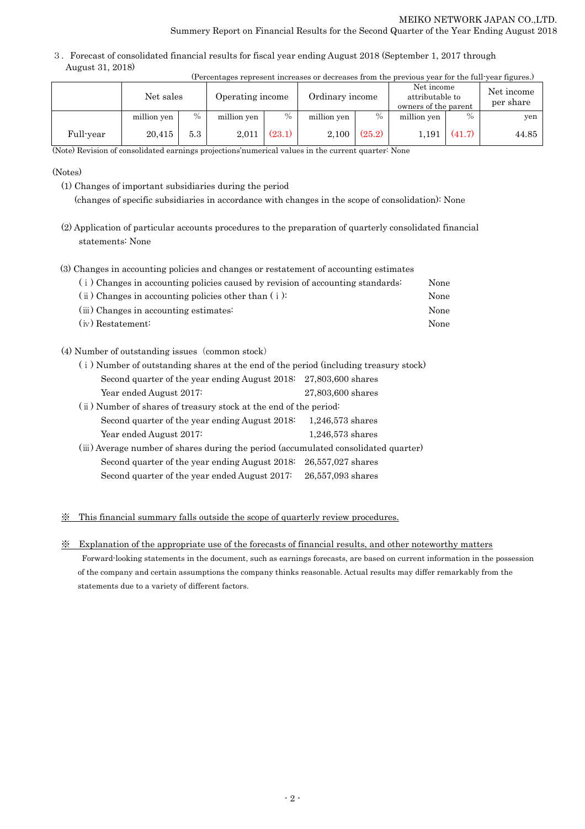3.Forecast of consolidated financial results for fiscal year ending August 2018 (September 1, 2017 through August 31, 2018)

|           | (Percentages represent increases or decreases from the previous year for the full-year figures.) |      |                  |               |                 |        |                                                       |        |                         |
|-----------|--------------------------------------------------------------------------------------------------|------|------------------|---------------|-----------------|--------|-------------------------------------------------------|--------|-------------------------|
|           | Net sales                                                                                        |      | Operating income |               | Ordinary income |        | Net income<br>attributable to<br>owners of the parent |        | Net income<br>per share |
|           | million yen                                                                                      | $\%$ | million yen      | $\frac{0}{0}$ | million yen     | $\%$   | million yen                                           | $\%$   | yen                     |
| Full-year | 20.415                                                                                           | 5.3  | 2,011            | (23.1)        | 2.100           | (25.2) | 1.191                                                 | (41.7) | 44.85                   |

(Note) Revision of consolidated earnings projections'numerical values in the current quarter: None

(Notes)

(1) Changes of important subsidiaries during the period

(changes of specific subsidiaries in accordance with changes in the scope of consolidation): None

- (2) Application of particular accounts procedures to the preparation of quarterly consolidated financial statements: None
- (3) Changes in accounting policies and changes or restatement of accounting estimates

| (i) Changes in accounting policies caused by revision of accounting standards: | None |
|--------------------------------------------------------------------------------|------|
| $(i)$ Changes in accounting policies other than $(i)$ :                        | None |
| (iii) Changes in accounting estimates:                                         | None |
| $(iv)$ Restatement:                                                            | None |

(4) Number of outstanding issues (common stock)

| (i) Number of outstanding shares at the end of the period (including treasury stock) |                     |  |  |  |
|--------------------------------------------------------------------------------------|---------------------|--|--|--|
| Second quarter of the year ending August $2018$ : $27,803,600$ shares                |                     |  |  |  |
| Year ended August 2017:                                                              | 27,803,600 shares   |  |  |  |
| (ii) Number of shares of treasury stock at the end of the period:                    |                     |  |  |  |
| Second quarter of the year ending August 2018:                                       | $1,246,573$ shares  |  |  |  |
| Year ended August 2017:                                                              | $1,246,573$ shares  |  |  |  |
| (iii) Average number of shares during the period (accumulated consolidated quarter)  |                     |  |  |  |
| Second quarter of the year ending August 2018:                                       | $26,557,027$ shares |  |  |  |
| Second quarter of the year ended August 2017:                                        | 26,557,093 shares   |  |  |  |

### ※ This financial summary falls outside the scope of quarterly review procedures.

※ Explanation of the appropriate use of the forecasts of financial results, and other noteworthy matters

Forward-looking statements in the document, such as earnings forecasts, are based on current information in the possession of the company and certain assumptions the company thinks reasonable. Actual results may differ remarkably from the statements due to a variety of different factors.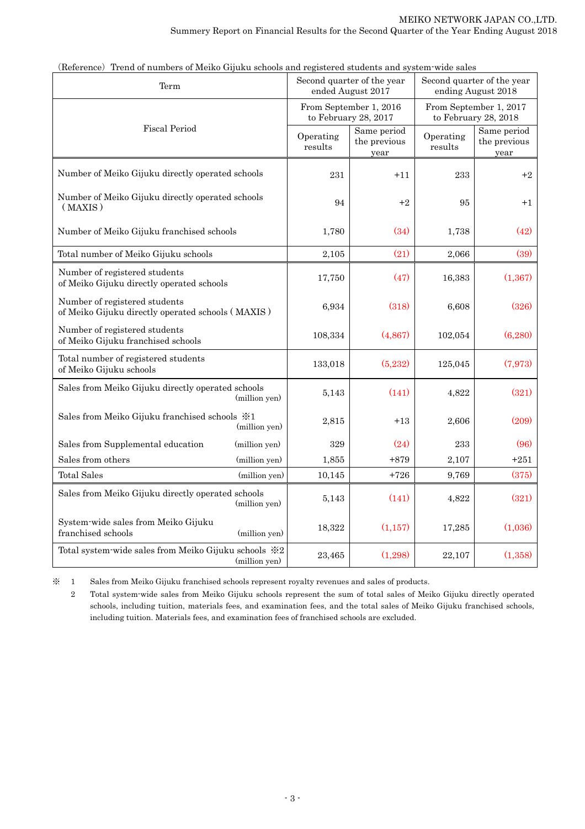| Term                                                                               |               |                      | Second quarter of the year<br>ended August 2017 | Second quarter of the year<br>ending August 2018 |                                     |  |
|------------------------------------------------------------------------------------|---------------|----------------------|-------------------------------------------------|--------------------------------------------------|-------------------------------------|--|
|                                                                                    |               |                      | From September 1, 2016<br>to February 28, 2017  | From September 1, 2017<br>to February 28, 2018   |                                     |  |
| <b>Fiscal Period</b>                                                               |               | Operating<br>results | Same period<br>the previous<br>year             | Operating<br>results                             | Same period<br>the previous<br>year |  |
| Number of Meiko Gijuku directly operated schools                                   |               | 231                  | $+11$                                           | 233                                              | $+2$                                |  |
| Number of Meiko Gijuku directly operated schools<br>(MAXIS)                        |               | 94                   | $+2$                                            | 95                                               | $+1$                                |  |
| Number of Meiko Gijuku franchised schools                                          |               | 1,780                | (34)                                            | 1,738                                            | (42)                                |  |
| Total number of Meiko Gijuku schools                                               |               | 2,105                | (21)                                            | 2,066                                            | (39)                                |  |
| Number of registered students<br>of Meiko Gijuku directly operated schools         |               | 17,750               | (47)                                            | 16,383                                           | (1, 367)                            |  |
| Number of registered students<br>of Meiko Gijuku directly operated schools (MAXIS) |               | 6,934                | (318)                                           | 6,608                                            | (326)                               |  |
| Number of registered students<br>of Meiko Gijuku franchised schools                |               | 108,334              | (4,867)                                         | 102,054                                          | (6,280)                             |  |
| Total number of registered students<br>of Meiko Gijuku schools                     |               | 133,018              | (5,232)                                         | 125,045                                          | (7,973)                             |  |
| Sales from Meiko Gijuku directly operated schools                                  | (million yen) | 5,143                | (141)                                           | 4,822                                            | (321)                               |  |
| Sales from Meiko Gijuku franchised schools $\frac{1}{2}$ 1                         | (million yen) | 2,815                | $+13$                                           | 2,606                                            | (209)                               |  |
| Sales from Supplemental education                                                  | (million yen) | 329                  | (24)                                            | 233                                              | (96)                                |  |
| Sales from others                                                                  | (million yen) | 1,855                | $+879$                                          | 2,107                                            | $+251$                              |  |
| Total Sales                                                                        | (million yen) | 10,145               | $+726$                                          | 9,769                                            | (375)                               |  |
| Sales from Meiko Gijuku directly operated schools                                  | (million yen) | 5,143                | (141)                                           | 4,822                                            | (321)                               |  |
| System-wide sales from Meiko Gijuku<br>franchised schools                          | (million yen) | 18,322               | (1, 157)                                        | 17,285                                           | (1,036)                             |  |
| Total system-wide sales from Meiko Gijuku schools ※2                               | (million yen) | 23,465               | (1,298)                                         | 22,107                                           | (1,358)                             |  |

<sup>(</sup>Reference) Trend of numbers of Meiko Gijuku schools and registered students and system-wide sales

※ 1 Sales from Meiko Gijuku franchised schools represent royalty revenues and sales of products.

 2 Total system-wide sales from Meiko Gijuku schools represent the sum of total sales of Meiko Gijuku directly operated schools, including tuition, materials fees, and examination fees, and the total sales of Meiko Gijuku franchised schools, including tuition. Materials fees, and examination fees of franchised schools are excluded.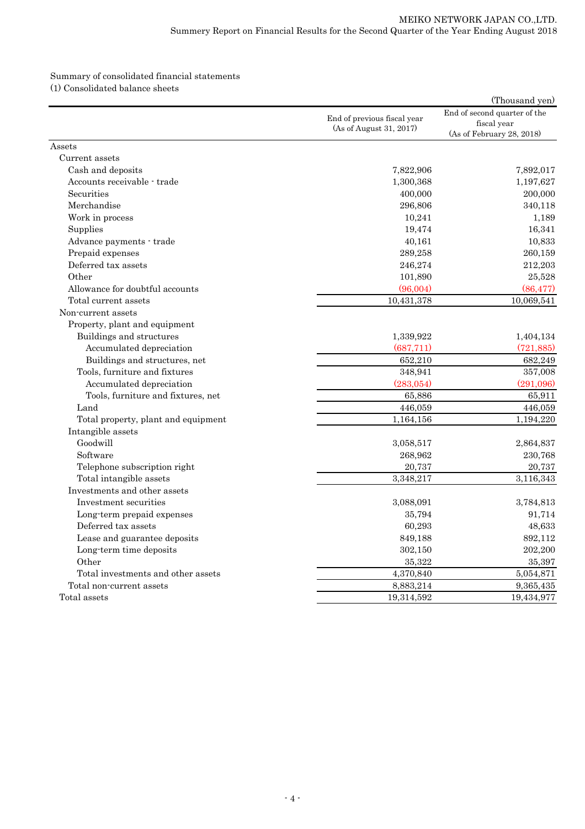# Summary of consolidated financial statements

(1) Consolidated balance sheets

|                                     |                                                        | (Thousand yen)                                                           |
|-------------------------------------|--------------------------------------------------------|--------------------------------------------------------------------------|
|                                     | End of previous fiscal year<br>(As of August 31, 2017) | End of second quarter of the<br>fiscal year<br>(As of February 28, 2018) |
| Assets                              |                                                        |                                                                          |
| Current assets                      |                                                        |                                                                          |
| Cash and deposits                   | 7,822,906                                              | 7,892,017                                                                |
| Accounts receivable - trade         | 1,300,368                                              | 1,197,627                                                                |
| Securities                          | 400,000                                                | 200,000                                                                  |
| Merchandise                         | 296,806                                                | 340,118                                                                  |
| Work in process                     | 10,241                                                 | 1,189                                                                    |
| Supplies                            | 19,474                                                 | 16,341                                                                   |
| Advance payments - trade            | 40,161                                                 | 10,833                                                                   |
| Prepaid expenses                    | 289,258                                                | 260,159                                                                  |
| Deferred tax assets                 | 246,274                                                | 212,203                                                                  |
| Other                               | 101,890                                                | 25,528                                                                   |
| Allowance for doubtful accounts     | (96,004)                                               | (86, 477)                                                                |
| Total current assets                | 10,431,378                                             | 10,069,541                                                               |
| Non-current assets                  |                                                        |                                                                          |
| Property, plant and equipment       |                                                        |                                                                          |
| Buildings and structures            | 1,339,922                                              | 1,404,134                                                                |
| Accumulated depreciation            | (687, 711)                                             | (721, 885)                                                               |
| Buildings and structures, net       | 652,210                                                | 682,249                                                                  |
| Tools, furniture and fixtures       | 348,941                                                | 357,008                                                                  |
| Accumulated depreciation            | (283,054)                                              | (291,096)                                                                |
| Tools, furniture and fixtures, net  | 65,886                                                 | 65,911                                                                   |
| Land                                | 446,059                                                | 446,059                                                                  |
| Total property, plant and equipment | 1,164,156                                              | 1,194,220                                                                |
| Intangible assets                   |                                                        |                                                                          |
| Goodwill                            | 3,058,517                                              | 2,864,837                                                                |
| Software                            | 268,962                                                | 230,768                                                                  |
| Telephone subscription right        | 20,737                                                 | 20,737                                                                   |
| Total intangible assets             | 3,348,217                                              | 3,116,343                                                                |
| Investments and other assets        |                                                        |                                                                          |
| Investment securities               | 3,088,091                                              | 3,784,813                                                                |
| Long-term prepaid expenses          | 35,794                                                 | 91,714                                                                   |
| Deferred tax assets                 | 60,293                                                 | 48,633                                                                   |
| Lease and guarantee deposits        | 849,188                                                | 892,112                                                                  |
| Long-term time deposits             | 302,150                                                | 202,200                                                                  |
| Other                               | 35,322                                                 | 35,397                                                                   |
| Total investments and other assets  | 4,370,840                                              | 5,054,871                                                                |
| Total non-current assets            | 8,883,214                                              | 9,365,435                                                                |
| Total assets                        | 19,314,592                                             | 19,434,977                                                               |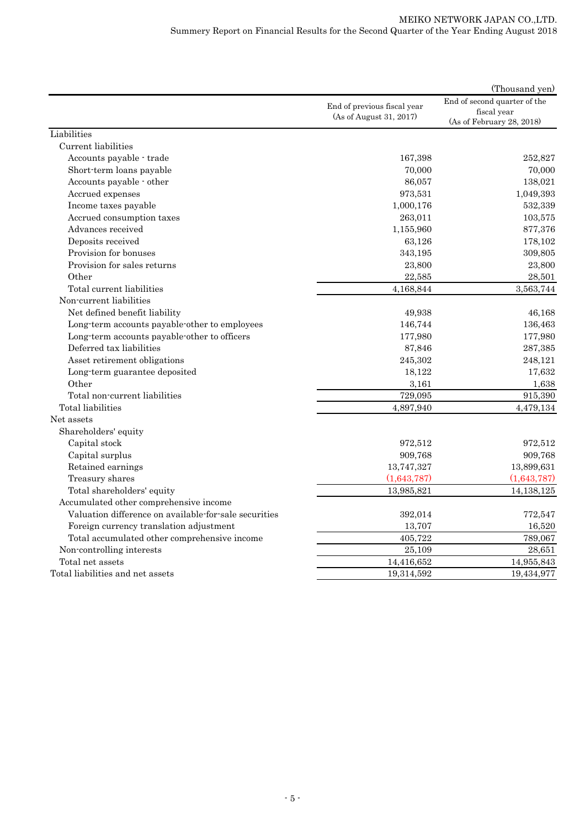| End of second quarter of the<br>End of previous fiscal year<br>fiscal year<br>(As of August 31, 2017)<br>(As of February 28, 2018)<br>Liabilities<br>Current liabilities<br>Accounts payable - trade<br>167,398<br>252,827<br>70,000<br>Short-term loans payable<br>70,000<br>Accounts payable - other<br>86,057<br>138,021<br>973,531<br>1,049,393<br>Accrued expenses<br>532,339<br>1,000,176<br>Income taxes payable<br>Accrued consumption taxes<br>263,011<br>103,575<br>Advances received<br>877,376<br>1,155,960<br>Deposits received<br>178,102<br>63,126<br>Provision for bonuses<br>309,805<br>343,195<br>Provision for sales returns<br>23,800<br>23,800<br>Other<br>22,585<br>28,501<br>Total current liabilities<br>3,563,744<br>4,168,844<br>Non-current liabilities<br>Net defined benefit liability<br>49,938<br>46,168<br>Long-term accounts payable-other to employees<br>146,744<br>136,463<br>Long-term accounts payable-other to officers<br>177,980<br>177,980<br>Deferred tax liabilities<br>287,385<br>87,846<br>Asset retirement obligations<br>245,302<br>248,121<br>Long-term guarantee deposited<br>18,122<br>17,632<br>Other<br>3,161<br>1,638<br>$\overline{729,095}$<br>Total non-current liabilities<br>915,390<br>Total liabilities<br>4,897,940<br>4,479,134<br>Net assets<br>Shareholders' equity<br>Capital stock<br>972,512<br>972,512<br>909,768<br>Capital surplus<br>909,768<br>13,747,327<br>13,899,631<br>Retained earnings<br>(1,643,787)<br>Treasury shares<br>(1,643,787)<br>Total shareholders' equity<br>13,985,821<br>14,138,125<br>Accumulated other comprehensive income<br>Valuation difference on available-for-sale securities<br>392,014<br>772,547<br>Foreign currency translation adjustment<br>13,707<br>16,520<br>405,722<br>789,067<br>Total accumulated other comprehensive income<br>Non-controlling interests<br>25,109<br>28,651<br>Total net assets<br>14,416,652<br>14,955,843<br>Total liabilities and net assets<br>19,314,592<br>19,434,977 |  | (Thousand yen) |
|-----------------------------------------------------------------------------------------------------------------------------------------------------------------------------------------------------------------------------------------------------------------------------------------------------------------------------------------------------------------------------------------------------------------------------------------------------------------------------------------------------------------------------------------------------------------------------------------------------------------------------------------------------------------------------------------------------------------------------------------------------------------------------------------------------------------------------------------------------------------------------------------------------------------------------------------------------------------------------------------------------------------------------------------------------------------------------------------------------------------------------------------------------------------------------------------------------------------------------------------------------------------------------------------------------------------------------------------------------------------------------------------------------------------------------------------------------------------------------------------------------------------------------------------------------------------------------------------------------------------------------------------------------------------------------------------------------------------------------------------------------------------------------------------------------------------------------------------------------------------------------------------------------------------------------------------------------------------------------------------------------------------|--|----------------|
|                                                                                                                                                                                                                                                                                                                                                                                                                                                                                                                                                                                                                                                                                                                                                                                                                                                                                                                                                                                                                                                                                                                                                                                                                                                                                                                                                                                                                                                                                                                                                                                                                                                                                                                                                                                                                                                                                                                                                                                                                 |  |                |
|                                                                                                                                                                                                                                                                                                                                                                                                                                                                                                                                                                                                                                                                                                                                                                                                                                                                                                                                                                                                                                                                                                                                                                                                                                                                                                                                                                                                                                                                                                                                                                                                                                                                                                                                                                                                                                                                                                                                                                                                                 |  |                |
|                                                                                                                                                                                                                                                                                                                                                                                                                                                                                                                                                                                                                                                                                                                                                                                                                                                                                                                                                                                                                                                                                                                                                                                                                                                                                                                                                                                                                                                                                                                                                                                                                                                                                                                                                                                                                                                                                                                                                                                                                 |  |                |
|                                                                                                                                                                                                                                                                                                                                                                                                                                                                                                                                                                                                                                                                                                                                                                                                                                                                                                                                                                                                                                                                                                                                                                                                                                                                                                                                                                                                                                                                                                                                                                                                                                                                                                                                                                                                                                                                                                                                                                                                                 |  |                |
|                                                                                                                                                                                                                                                                                                                                                                                                                                                                                                                                                                                                                                                                                                                                                                                                                                                                                                                                                                                                                                                                                                                                                                                                                                                                                                                                                                                                                                                                                                                                                                                                                                                                                                                                                                                                                                                                                                                                                                                                                 |  |                |
|                                                                                                                                                                                                                                                                                                                                                                                                                                                                                                                                                                                                                                                                                                                                                                                                                                                                                                                                                                                                                                                                                                                                                                                                                                                                                                                                                                                                                                                                                                                                                                                                                                                                                                                                                                                                                                                                                                                                                                                                                 |  |                |
|                                                                                                                                                                                                                                                                                                                                                                                                                                                                                                                                                                                                                                                                                                                                                                                                                                                                                                                                                                                                                                                                                                                                                                                                                                                                                                                                                                                                                                                                                                                                                                                                                                                                                                                                                                                                                                                                                                                                                                                                                 |  |                |
|                                                                                                                                                                                                                                                                                                                                                                                                                                                                                                                                                                                                                                                                                                                                                                                                                                                                                                                                                                                                                                                                                                                                                                                                                                                                                                                                                                                                                                                                                                                                                                                                                                                                                                                                                                                                                                                                                                                                                                                                                 |  |                |
|                                                                                                                                                                                                                                                                                                                                                                                                                                                                                                                                                                                                                                                                                                                                                                                                                                                                                                                                                                                                                                                                                                                                                                                                                                                                                                                                                                                                                                                                                                                                                                                                                                                                                                                                                                                                                                                                                                                                                                                                                 |  |                |
|                                                                                                                                                                                                                                                                                                                                                                                                                                                                                                                                                                                                                                                                                                                                                                                                                                                                                                                                                                                                                                                                                                                                                                                                                                                                                                                                                                                                                                                                                                                                                                                                                                                                                                                                                                                                                                                                                                                                                                                                                 |  |                |
|                                                                                                                                                                                                                                                                                                                                                                                                                                                                                                                                                                                                                                                                                                                                                                                                                                                                                                                                                                                                                                                                                                                                                                                                                                                                                                                                                                                                                                                                                                                                                                                                                                                                                                                                                                                                                                                                                                                                                                                                                 |  |                |
|                                                                                                                                                                                                                                                                                                                                                                                                                                                                                                                                                                                                                                                                                                                                                                                                                                                                                                                                                                                                                                                                                                                                                                                                                                                                                                                                                                                                                                                                                                                                                                                                                                                                                                                                                                                                                                                                                                                                                                                                                 |  |                |
|                                                                                                                                                                                                                                                                                                                                                                                                                                                                                                                                                                                                                                                                                                                                                                                                                                                                                                                                                                                                                                                                                                                                                                                                                                                                                                                                                                                                                                                                                                                                                                                                                                                                                                                                                                                                                                                                                                                                                                                                                 |  |                |
|                                                                                                                                                                                                                                                                                                                                                                                                                                                                                                                                                                                                                                                                                                                                                                                                                                                                                                                                                                                                                                                                                                                                                                                                                                                                                                                                                                                                                                                                                                                                                                                                                                                                                                                                                                                                                                                                                                                                                                                                                 |  |                |
|                                                                                                                                                                                                                                                                                                                                                                                                                                                                                                                                                                                                                                                                                                                                                                                                                                                                                                                                                                                                                                                                                                                                                                                                                                                                                                                                                                                                                                                                                                                                                                                                                                                                                                                                                                                                                                                                                                                                                                                                                 |  |                |
|                                                                                                                                                                                                                                                                                                                                                                                                                                                                                                                                                                                                                                                                                                                                                                                                                                                                                                                                                                                                                                                                                                                                                                                                                                                                                                                                                                                                                                                                                                                                                                                                                                                                                                                                                                                                                                                                                                                                                                                                                 |  |                |
|                                                                                                                                                                                                                                                                                                                                                                                                                                                                                                                                                                                                                                                                                                                                                                                                                                                                                                                                                                                                                                                                                                                                                                                                                                                                                                                                                                                                                                                                                                                                                                                                                                                                                                                                                                                                                                                                                                                                                                                                                 |  |                |
|                                                                                                                                                                                                                                                                                                                                                                                                                                                                                                                                                                                                                                                                                                                                                                                                                                                                                                                                                                                                                                                                                                                                                                                                                                                                                                                                                                                                                                                                                                                                                                                                                                                                                                                                                                                                                                                                                                                                                                                                                 |  |                |
|                                                                                                                                                                                                                                                                                                                                                                                                                                                                                                                                                                                                                                                                                                                                                                                                                                                                                                                                                                                                                                                                                                                                                                                                                                                                                                                                                                                                                                                                                                                                                                                                                                                                                                                                                                                                                                                                                                                                                                                                                 |  |                |
|                                                                                                                                                                                                                                                                                                                                                                                                                                                                                                                                                                                                                                                                                                                                                                                                                                                                                                                                                                                                                                                                                                                                                                                                                                                                                                                                                                                                                                                                                                                                                                                                                                                                                                                                                                                                                                                                                                                                                                                                                 |  |                |
|                                                                                                                                                                                                                                                                                                                                                                                                                                                                                                                                                                                                                                                                                                                                                                                                                                                                                                                                                                                                                                                                                                                                                                                                                                                                                                                                                                                                                                                                                                                                                                                                                                                                                                                                                                                                                                                                                                                                                                                                                 |  |                |
|                                                                                                                                                                                                                                                                                                                                                                                                                                                                                                                                                                                                                                                                                                                                                                                                                                                                                                                                                                                                                                                                                                                                                                                                                                                                                                                                                                                                                                                                                                                                                                                                                                                                                                                                                                                                                                                                                                                                                                                                                 |  |                |
|                                                                                                                                                                                                                                                                                                                                                                                                                                                                                                                                                                                                                                                                                                                                                                                                                                                                                                                                                                                                                                                                                                                                                                                                                                                                                                                                                                                                                                                                                                                                                                                                                                                                                                                                                                                                                                                                                                                                                                                                                 |  |                |
|                                                                                                                                                                                                                                                                                                                                                                                                                                                                                                                                                                                                                                                                                                                                                                                                                                                                                                                                                                                                                                                                                                                                                                                                                                                                                                                                                                                                                                                                                                                                                                                                                                                                                                                                                                                                                                                                                                                                                                                                                 |  |                |
|                                                                                                                                                                                                                                                                                                                                                                                                                                                                                                                                                                                                                                                                                                                                                                                                                                                                                                                                                                                                                                                                                                                                                                                                                                                                                                                                                                                                                                                                                                                                                                                                                                                                                                                                                                                                                                                                                                                                                                                                                 |  |                |
|                                                                                                                                                                                                                                                                                                                                                                                                                                                                                                                                                                                                                                                                                                                                                                                                                                                                                                                                                                                                                                                                                                                                                                                                                                                                                                                                                                                                                                                                                                                                                                                                                                                                                                                                                                                                                                                                                                                                                                                                                 |  |                |
|                                                                                                                                                                                                                                                                                                                                                                                                                                                                                                                                                                                                                                                                                                                                                                                                                                                                                                                                                                                                                                                                                                                                                                                                                                                                                                                                                                                                                                                                                                                                                                                                                                                                                                                                                                                                                                                                                                                                                                                                                 |  |                |
|                                                                                                                                                                                                                                                                                                                                                                                                                                                                                                                                                                                                                                                                                                                                                                                                                                                                                                                                                                                                                                                                                                                                                                                                                                                                                                                                                                                                                                                                                                                                                                                                                                                                                                                                                                                                                                                                                                                                                                                                                 |  |                |
|                                                                                                                                                                                                                                                                                                                                                                                                                                                                                                                                                                                                                                                                                                                                                                                                                                                                                                                                                                                                                                                                                                                                                                                                                                                                                                                                                                                                                                                                                                                                                                                                                                                                                                                                                                                                                                                                                                                                                                                                                 |  |                |
|                                                                                                                                                                                                                                                                                                                                                                                                                                                                                                                                                                                                                                                                                                                                                                                                                                                                                                                                                                                                                                                                                                                                                                                                                                                                                                                                                                                                                                                                                                                                                                                                                                                                                                                                                                                                                                                                                                                                                                                                                 |  |                |
|                                                                                                                                                                                                                                                                                                                                                                                                                                                                                                                                                                                                                                                                                                                                                                                                                                                                                                                                                                                                                                                                                                                                                                                                                                                                                                                                                                                                                                                                                                                                                                                                                                                                                                                                                                                                                                                                                                                                                                                                                 |  |                |
|                                                                                                                                                                                                                                                                                                                                                                                                                                                                                                                                                                                                                                                                                                                                                                                                                                                                                                                                                                                                                                                                                                                                                                                                                                                                                                                                                                                                                                                                                                                                                                                                                                                                                                                                                                                                                                                                                                                                                                                                                 |  |                |
|                                                                                                                                                                                                                                                                                                                                                                                                                                                                                                                                                                                                                                                                                                                                                                                                                                                                                                                                                                                                                                                                                                                                                                                                                                                                                                                                                                                                                                                                                                                                                                                                                                                                                                                                                                                                                                                                                                                                                                                                                 |  |                |
|                                                                                                                                                                                                                                                                                                                                                                                                                                                                                                                                                                                                                                                                                                                                                                                                                                                                                                                                                                                                                                                                                                                                                                                                                                                                                                                                                                                                                                                                                                                                                                                                                                                                                                                                                                                                                                                                                                                                                                                                                 |  |                |
|                                                                                                                                                                                                                                                                                                                                                                                                                                                                                                                                                                                                                                                                                                                                                                                                                                                                                                                                                                                                                                                                                                                                                                                                                                                                                                                                                                                                                                                                                                                                                                                                                                                                                                                                                                                                                                                                                                                                                                                                                 |  |                |
|                                                                                                                                                                                                                                                                                                                                                                                                                                                                                                                                                                                                                                                                                                                                                                                                                                                                                                                                                                                                                                                                                                                                                                                                                                                                                                                                                                                                                                                                                                                                                                                                                                                                                                                                                                                                                                                                                                                                                                                                                 |  |                |
|                                                                                                                                                                                                                                                                                                                                                                                                                                                                                                                                                                                                                                                                                                                                                                                                                                                                                                                                                                                                                                                                                                                                                                                                                                                                                                                                                                                                                                                                                                                                                                                                                                                                                                                                                                                                                                                                                                                                                                                                                 |  |                |
|                                                                                                                                                                                                                                                                                                                                                                                                                                                                                                                                                                                                                                                                                                                                                                                                                                                                                                                                                                                                                                                                                                                                                                                                                                                                                                                                                                                                                                                                                                                                                                                                                                                                                                                                                                                                                                                                                                                                                                                                                 |  |                |
|                                                                                                                                                                                                                                                                                                                                                                                                                                                                                                                                                                                                                                                                                                                                                                                                                                                                                                                                                                                                                                                                                                                                                                                                                                                                                                                                                                                                                                                                                                                                                                                                                                                                                                                                                                                                                                                                                                                                                                                                                 |  |                |
|                                                                                                                                                                                                                                                                                                                                                                                                                                                                                                                                                                                                                                                                                                                                                                                                                                                                                                                                                                                                                                                                                                                                                                                                                                                                                                                                                                                                                                                                                                                                                                                                                                                                                                                                                                                                                                                                                                                                                                                                                 |  |                |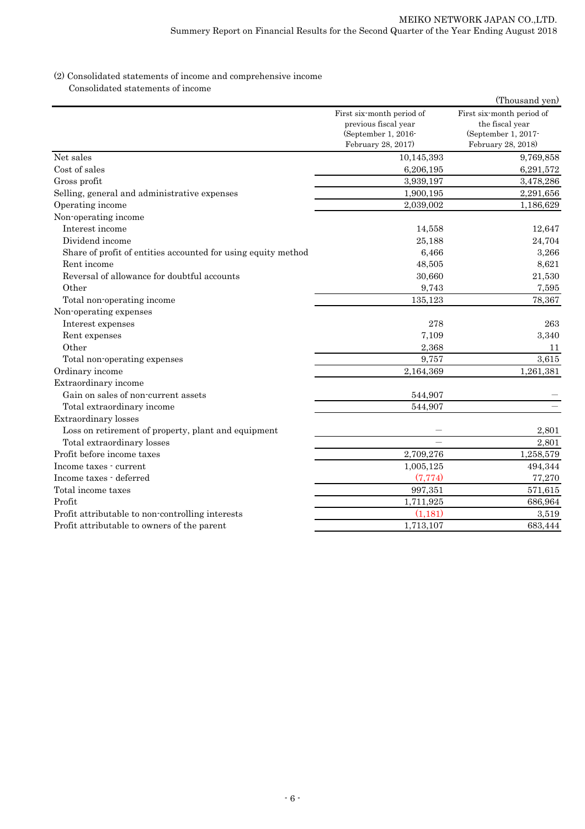### (2) Consolidated statements of income and comprehensive income Consolidated statements of income

|                                                               |                                                                                                | (Thousand yen)                                                                            |
|---------------------------------------------------------------|------------------------------------------------------------------------------------------------|-------------------------------------------------------------------------------------------|
|                                                               | First six-month period of<br>previous fiscal year<br>(September 1, 2016-<br>February 28, 2017) | First six month period of<br>the fiscal year<br>(September 1, 2017-<br>February 28, 2018) |
| Net sales                                                     | 10,145,393                                                                                     | 9,769,858                                                                                 |
| Cost of sales                                                 | 6,206,195                                                                                      | 6,291,572                                                                                 |
| Gross profit                                                  | 3,939,197                                                                                      | 3,478,286                                                                                 |
| Selling, general and administrative expenses                  | 1,900,195                                                                                      | 2,291,656                                                                                 |
| Operating income                                              | 2,039,002                                                                                      | 1,186,629                                                                                 |
| Non-operating income                                          |                                                                                                |                                                                                           |
| Interest income                                               | 14,558                                                                                         | 12,647                                                                                    |
| Dividend income                                               | 25,188                                                                                         | 24,704                                                                                    |
| Share of profit of entities accounted for using equity method | 6,466                                                                                          | 3,266                                                                                     |
| Rent income                                                   | 48,505                                                                                         | 8,621                                                                                     |
| Reversal of allowance for doubtful accounts                   | 30,660                                                                                         | 21,530                                                                                    |
| Other                                                         | 9,743                                                                                          | 7,595                                                                                     |
| Total non-operating income                                    | 135,123                                                                                        | 78,367                                                                                    |
| Non-operating expenses                                        |                                                                                                |                                                                                           |
| Interest expenses                                             | 278                                                                                            | 263                                                                                       |
| Rent expenses                                                 | 7,109                                                                                          | 3,340                                                                                     |
| Other                                                         | 2,368                                                                                          | 11                                                                                        |
| Total non-operating expenses                                  | 9,757                                                                                          | 3,615                                                                                     |
| Ordinary income                                               | 2,164,369                                                                                      | 1,261,381                                                                                 |
| Extraordinary income                                          |                                                                                                |                                                                                           |
| Gain on sales of non-current assets                           | 544,907                                                                                        |                                                                                           |
| Total extraordinary income                                    | 544,907                                                                                        |                                                                                           |
| Extraordinary losses                                          |                                                                                                |                                                                                           |
| Loss on retirement of property, plant and equipment           |                                                                                                | 2,801                                                                                     |
| Total extraordinary losses                                    |                                                                                                | 2,801                                                                                     |
| Profit before income taxes                                    | 2,709,276                                                                                      | 1,258,579                                                                                 |
| Income taxes - current                                        | 1,005,125                                                                                      | 494,344                                                                                   |
| Income taxes - deferred                                       | (7, 774)                                                                                       | 77,270                                                                                    |
| Total income taxes                                            | 997,351                                                                                        | 571,615                                                                                   |
| Profit                                                        | 1,711,925                                                                                      | 686,964                                                                                   |
| Profit attributable to non-controlling interests              | (1, 181)                                                                                       | 3,519                                                                                     |
| Profit attributable to owners of the parent                   | 1,713,107                                                                                      | 683,444                                                                                   |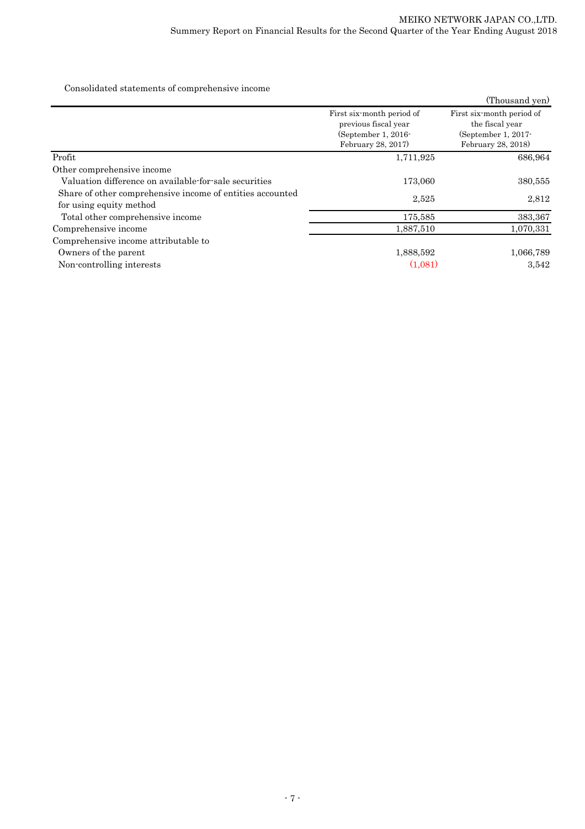Consolidated statements of comprehensive income

|                                                                                      |                                                                                                 | (Thousand yen)                                                                             |
|--------------------------------------------------------------------------------------|-------------------------------------------------------------------------------------------------|--------------------------------------------------------------------------------------------|
|                                                                                      | First six-month period of<br>previous fiscal year<br>(September 1, $2016$<br>February 28, 2017) | First six-month period of<br>the fiscal year<br>(September 1, $2017$<br>February 28, 2018) |
| Profit                                                                               | 1,711,925                                                                                       | 686,964                                                                                    |
| Other comprehensive income                                                           |                                                                                                 |                                                                                            |
| Valuation difference on available for sale securities                                | 173,060                                                                                         | 380,555                                                                                    |
| Share of other comprehensive income of entities accounted<br>for using equity method | 2,525                                                                                           | 2,812                                                                                      |
| Total other comprehensive income                                                     | 175,585                                                                                         | 383,367                                                                                    |
| Comprehensive income                                                                 | 1,887,510                                                                                       | 1,070,331                                                                                  |
| Comprehensive income attributable to                                                 |                                                                                                 |                                                                                            |
| Owners of the parent                                                                 | 1,888,592                                                                                       | 1,066,789                                                                                  |
| Non-controlling interests                                                            | (1.081)                                                                                         | 3,542                                                                                      |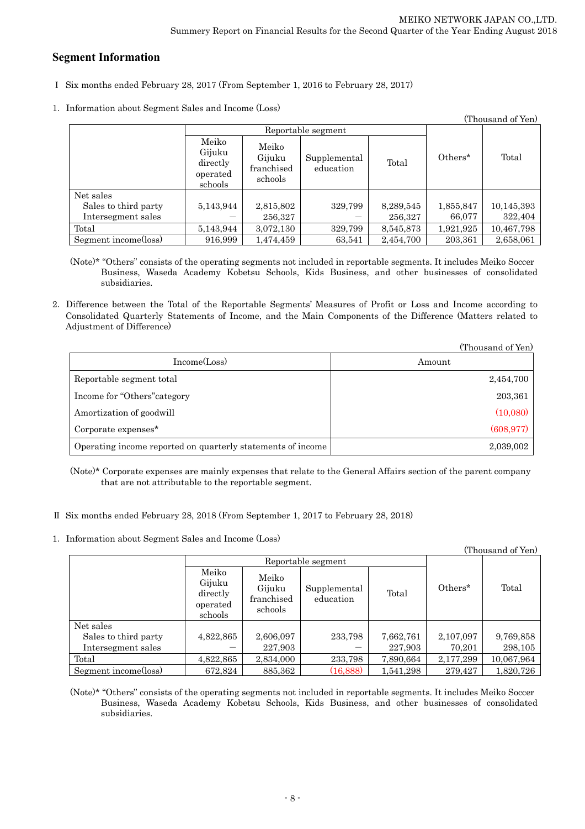## **Segment Information**

- Ⅰ Six months ended February 28, 2017 (From September 1, 2016 to February 28, 2017)
- 1.Information about Segment Sales and Income (Loss)

| (Thousand of Yen)    |                                                    |                                          |                           |           |            |            |
|----------------------|----------------------------------------------------|------------------------------------------|---------------------------|-----------|------------|------------|
|                      | Reportable segment                                 |                                          |                           |           |            |            |
|                      | Meiko<br>Gijuku<br>directly<br>operated<br>schools | Meiko<br>Gijuku<br>franchised<br>schools | Supplemental<br>education | Total     | $Others^*$ | Total      |
| Net sales            |                                                    |                                          |                           |           |            |            |
| Sales to third party | 5,143,944                                          | 2,815,802                                | 329,799                   | 8,289,545 | 1,855,847  | 10,145,393 |
| Intersegment sales   |                                                    | 256,327                                  |                           | 256,327   | 66,077     | 322,404    |
| Total                | 5,143,944                                          | 3,072,130                                | 329,799                   | 8,545,873 | 1,921,925  | 10,467,798 |
| Segment income(loss) | 916.999                                            | 1,474,459                                | 63,541                    | 2,454,700 | 203,361    | 2,658,061  |

(Note)\* "Others" consists of the operating segments not included in reportable segments. It includes Meiko Soccer Business, Waseda Academy Kobetsu Schools, Kids Business, and other businesses of consolidated subsidiaries.

2.Difference between the Total of the Reportable Segments' Measures of Profit or Loss and Income according to Consolidated Quarterly Statements of Income, and the Main Components of the Difference (Matters related to Adjustment of Difference)

|                                                             | (Thousand of Yen) |
|-------------------------------------------------------------|-------------------|
| Income(Loss)                                                | Amount            |
| Reportable segment total                                    | 2,454,700         |
| Income for "Others" category                                | 203,361           |
| Amortization of goodwill                                    | (10,080)          |
| Corporate expenses $*$                                      | (608, 977)        |
| Operating income reported on quarterly statements of income | 2,039,002         |

(Note)\* Corporate expenses are mainly expenses that relate to the General Affairs section of the parent company that are not attributable to the reportable segment.

- Ⅱ Six months ended February 28, 2018 (From September 1, 2017 to February 28, 2018)
- 1.Information about Segment Sales and Income (Loss)

| (Thousand of Yen)    |                                                    |                                          |                           |           |           |            |
|----------------------|----------------------------------------------------|------------------------------------------|---------------------------|-----------|-----------|------------|
|                      | Reportable segment                                 |                                          |                           |           |           |            |
|                      | Meiko<br>Gijuku<br>directly<br>operated<br>schools | Meiko<br>Gijuku<br>franchised<br>schools | Supplemental<br>education | Total     | Others*   | Total      |
| Net sales            |                                                    |                                          |                           |           |           |            |
| Sales to third party | 4,822,865                                          | 2,606,097                                | 233,798                   | 7,662,761 | 2,107,097 | 9,769,858  |
| Intersegment sales   |                                                    | 227,903                                  |                           | 227,903   | 70,201    | 298,105    |
| Total                | 4,822,865                                          | 2,834,000                                | 233,798                   | 7,890,664 | 2,177,299 | 10,067,964 |
| Segment income(loss) | 672,824                                            | 885,362                                  | (16, 888)                 | 1,541,298 | 279,427   | 1,820,726  |

(Note)\* "Others" consists of the operating segments not included in reportable segments. It includes Meiko Soccer Business, Waseda Academy Kobetsu Schools, Kids Business, and other businesses of consolidated subsidiaries.